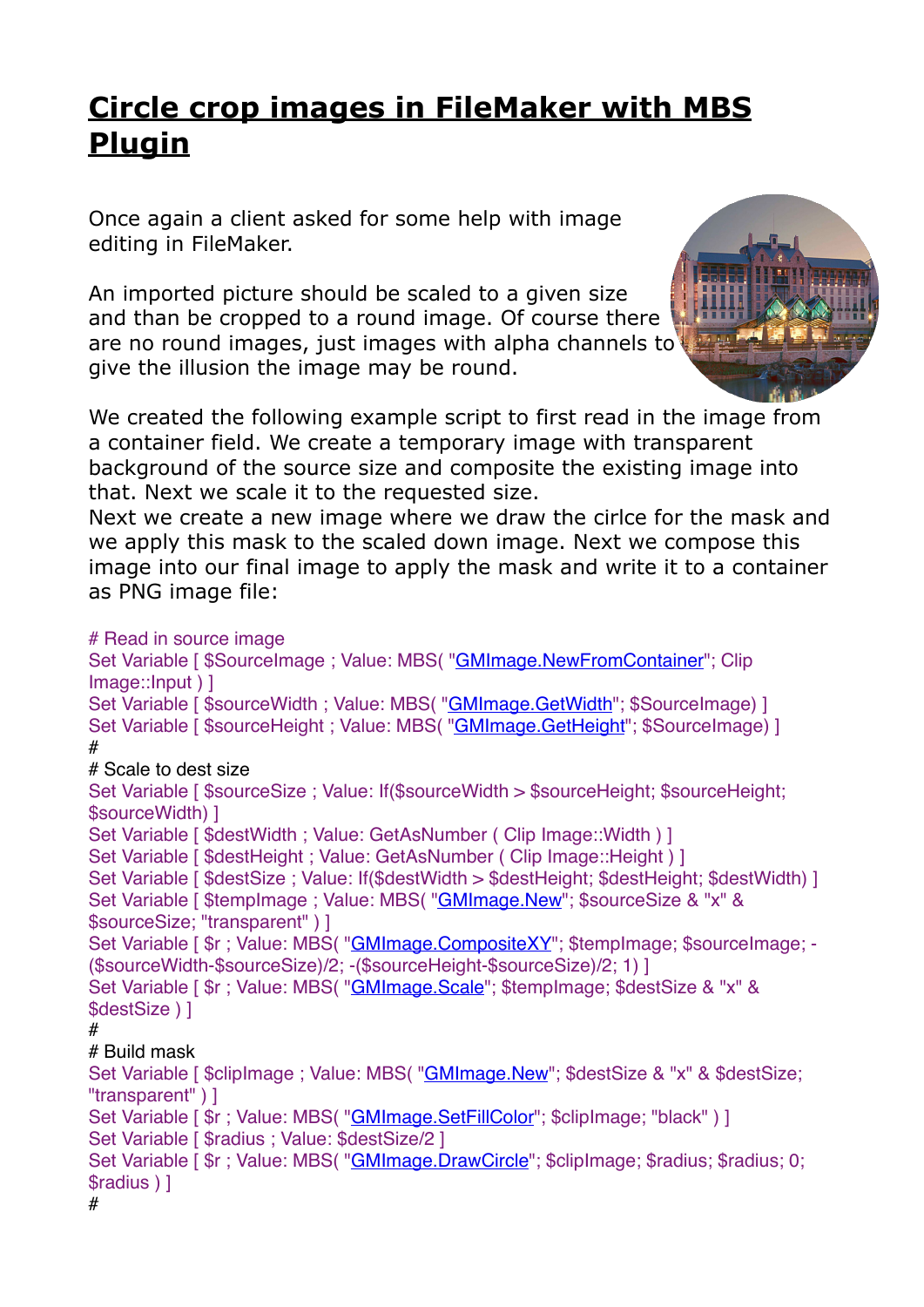## **[Circle crop images in FileMaker with MBS](https://www.mbs-plugins.com/archive/2018-01-18/Circle_crop_images_in_FileMake/monkeybreadsoftware_blog_filemaker)  [Plugin](https://www.mbs-plugins.com/archive/2018-01-18/Circle_crop_images_in_FileMake/monkeybreadsoftware_blog_filemaker)**

Once again a client asked for some help with image editing in FileMaker.

An imported picture should be scaled to a given size and than be cropped to a round image. Of course there are no round images, just images with alpha channels to give the illusion the image may be round.



We created the following example script to first read in the image from a container field. We create a temporary image with transparent background of the source size and composite the existing image into that. Next we scale it to the requested size.

Next we create a new image where we draw the cirlce for the mask and we apply this mask to the scaled down image. Next we compose this image into our final image to apply the mask and write it to a container as PNG image file:

```
# Read in source image
"GMImage.NewFromContainer"; Clip
Image::Input ) ]
Set Variable [ $sourceWidth ; Value: MBS( "GMImage. GetWidth"; $SourceImage) ]
Set Variable [ $sourceHeight : Value: MBS( "GMImage. GetHeight"; $SourceImage) ]
#
# Scale to dest size
Set Variable [ $sourceSize : Value: If($sourceWidth > $sourceHeight: $sourceHeight:
$sourceWidth) ]
Set Variable [ $destWidth : Value: GetAsNumber ( Clip Image:: Width ) ]
Set Variable [ $destHeight ; Value: GetAsNumber ( Clip Image::Height ) ]
Set Variable [ $destSize ; Value: If($destWidth > $destHeight; $destHeight; $destWidth) ]
"GMImage.New"; $sourceSize & "x" &
$sourceSize; "transparent" ) ]
Set Variable [ r : Value"GMImage.CompositeXY"; $tempImage; $sourceImage; -
($sourceWidth-$sourceSize)/2; -($sourceHeight-$sourceSize)/2; 1) ]
Set Variable [ $r ; Value: MBS( "GMImage. Scale"; $tempImage; $destSize & "x" &
$destSize ) ]
#
# Build mask
"GMImage.New"; $destSize & "x" & $destSize;
"transparent" ) ]
"GMImage.SetFillColor"; $clipImage; "black") ]
Set Variable [ $radius : Value: $destSize/2 ]
"GMImage.DrawCircle"; $clipImage; $radius; $radius; 0;
$radius ) ]
#
```